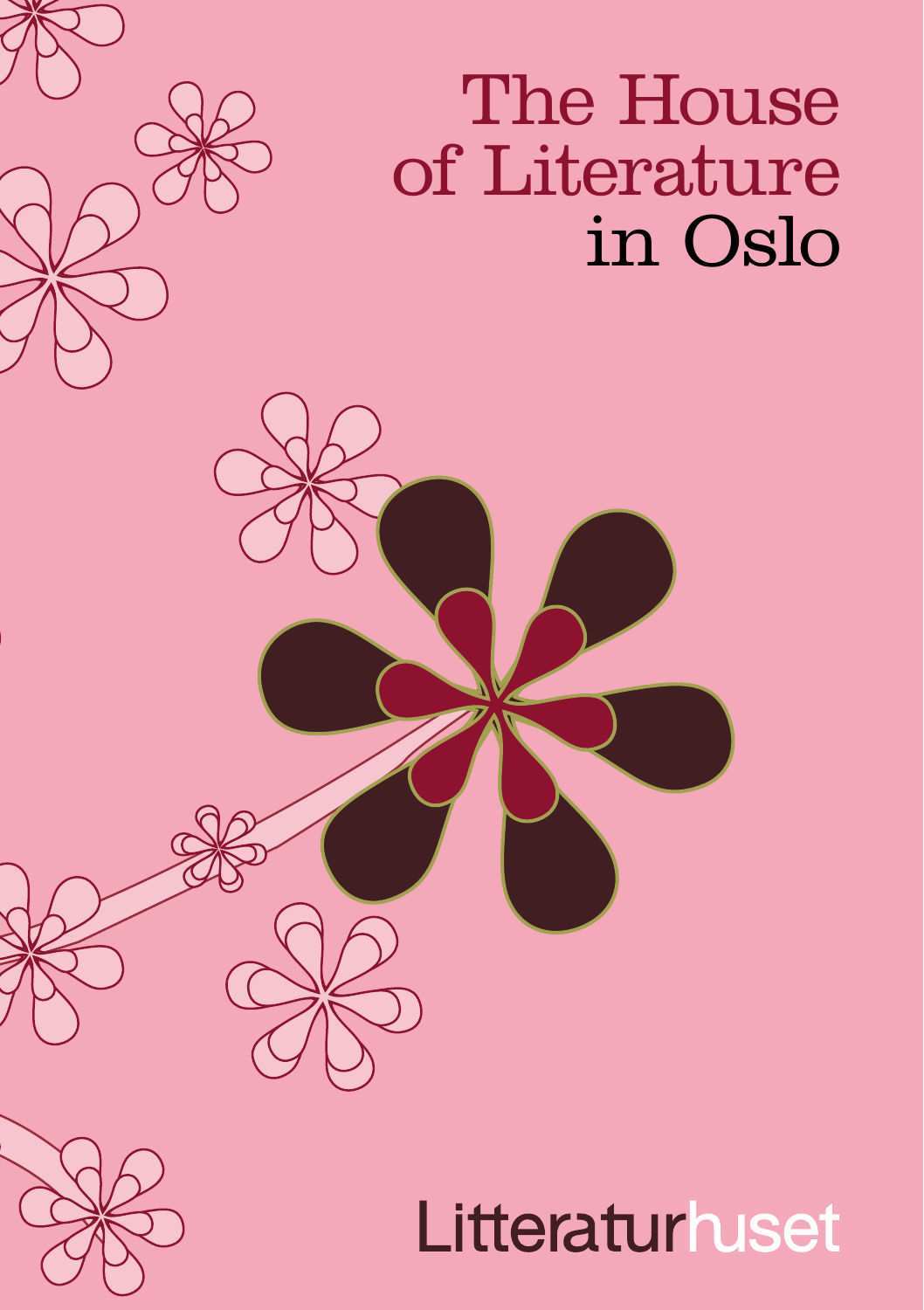## The House of Literature in Oslo

## Litteraturhuset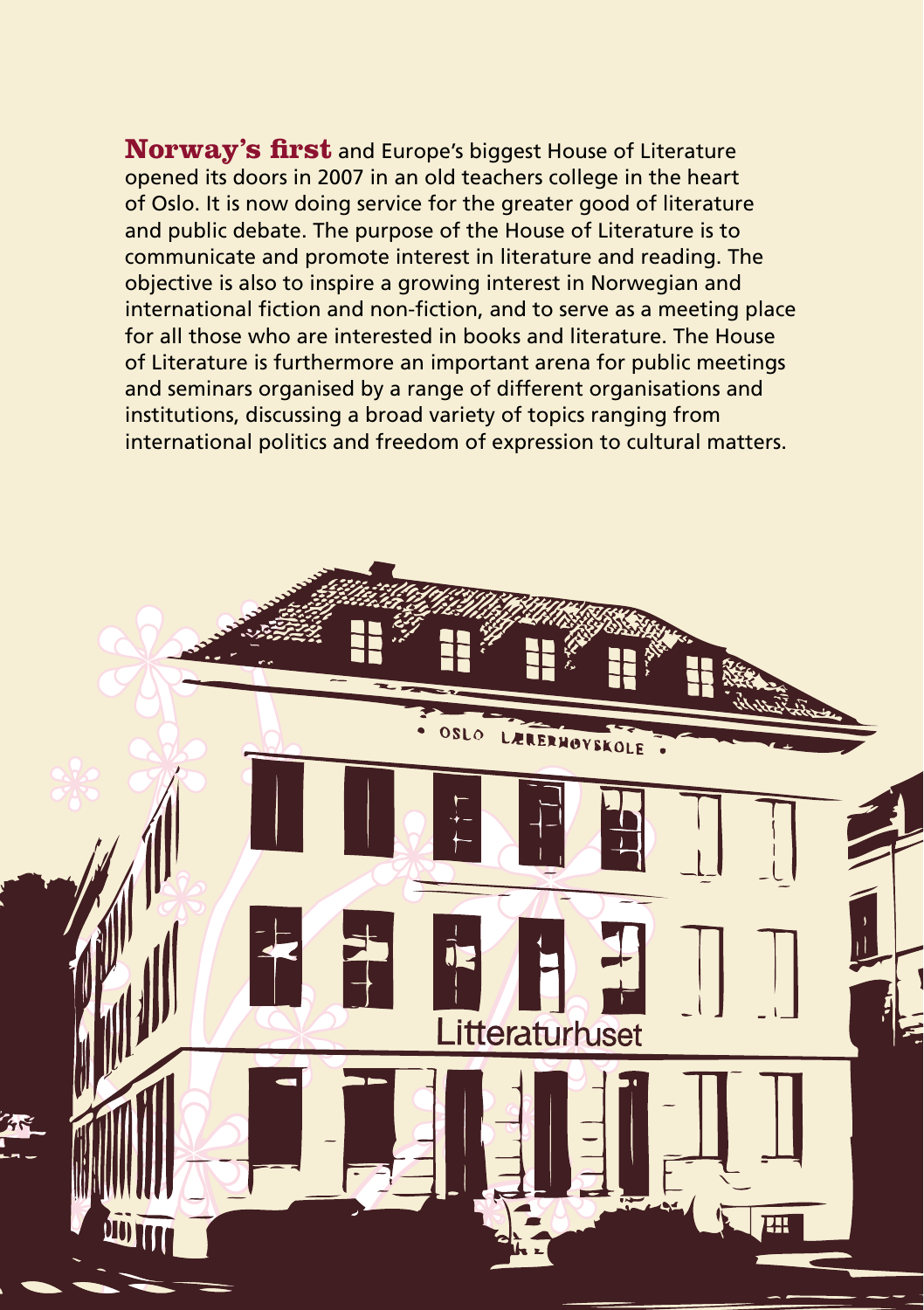**Norway's first** and Europe's biggest House of Literature opened its doors in 2007 in an old teachers college in the heart of Oslo. It is now doing service for the greater good of literature and public debate. The purpose of the House of Literature is to communicate and promote interest in literature and reading. The objective is also to inspire a growing interest in Norwegian and international fiction and non-fiction, and to serve as a meeting place for all those who are interested in books and literature. The House of Literature is furthermore an important arena for public meetings and seminars organised by a range of different organisations and institutions, discussing a broad variety of topics ranging from international politics and freedom of expression to cultural matters.

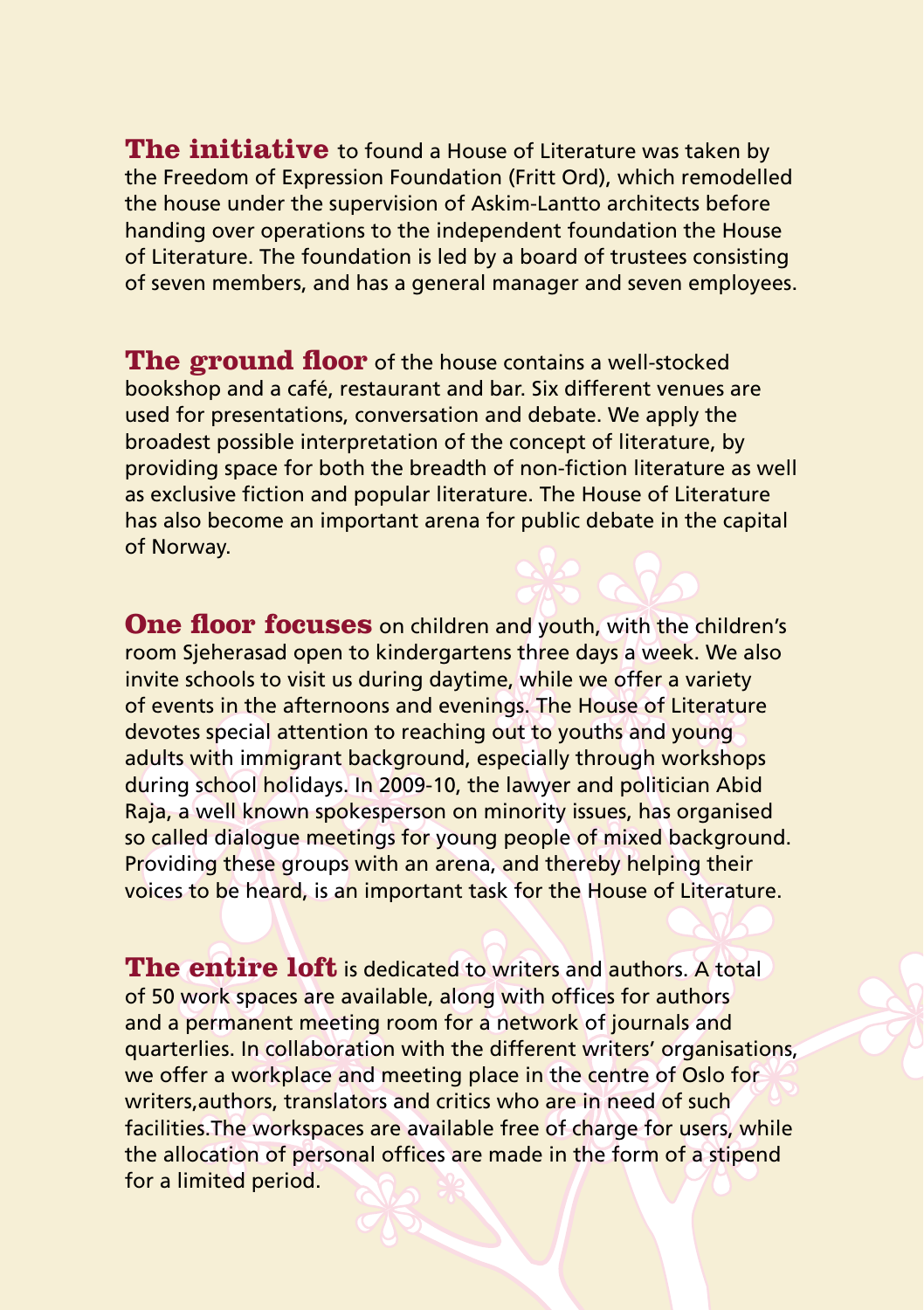**The initiative** to found a House of Literature was taken by the Freedom of Expression Foundation (Fritt Ord), which remodelled the house under the supervision of Askim-Lantto architects before handing over operations to the independent foundation the House of Literature. The foundation is led by a board of trustees consisting of seven members, and has a general manager and seven employees.

**The ground floor** of the house contains a well-stocked bookshop and a café, restaurant and bar. Six different venues are used for presentations, conversation and debate. We apply the broadest possible interpretation of the concept of literature, by providing space for both the breadth of non-fiction literature as well as exclusive fiction and popular literature. The House of Literature has also become an important arena for public debate in the capital of Norway.

**One floor focuses** on children and youth, with the children's room Sjeherasad open to kindergartens three days a week. We also invite schools to visit us during daytime, while we offer a variety of events in the afternoons and evenings. The House of Literature devotes special attention to reaching out to youths and young adults with immigrant background, especially through workshops during school holidays. In 2009-10, the lawyer and politician Abid Raja, a well known spokesperson on minority issues, has organised so called dialogue meetings for young people of mixed background. Providing these groups with an arena, and thereby helping their voices to be heard, is an important task for the House of Literature.

**The entire loft** is dedicated to writers and authors. A total of 50 work spaces are available, along with offices for authors and a permanent meeting room for a network of journals and quarterlies. In collaboration with the different writers' organisations, we offer a workplace and meeting place in the centre of Oslo for writers, authors, translators and critics who are in need of such facilities.The workspaces are available free of charge for users, while the allocation of personal offices are made in the form of a stipend for a limited period.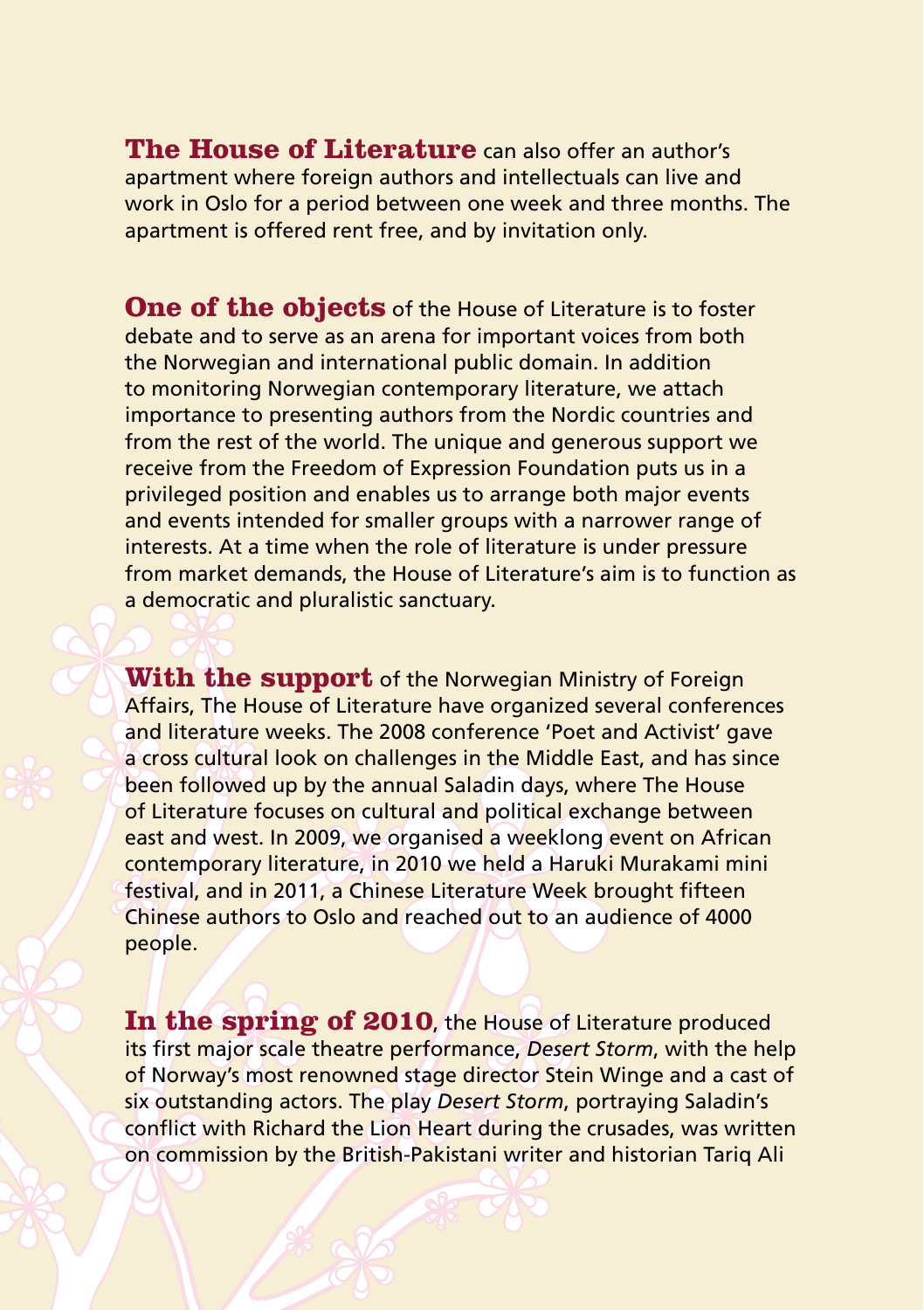**The House of Literature** can also offer an author's apartment where foreign authors and intellectuals can live and work in Oslo for a period between one week and three months. The apartment is offered rent free, and by invitation only.

**One of the objects** of the House of Literature is to foster debate and to serve as an arena for important voices from both the Norwegian and international public domain. In addition to monitoring Norwegian contemporary literature, we attach importance to presenting authors from the Nordic countries and from the rest of the world. The unique and generous support we receive from the Freedom of Expression Foundation puts us in a privileged position and enables us to arrange both major events and events intended for smaller groups with a narrower range of interests. At a time when the role of literature is under pressure from market demands, the House of Literature's aim is to function as a democratic and pluralistic sanctuary.

**With the support** of the Norwegian Ministry of Foreign Affairs, The House of Literature have organized several conferences and literature weeks. The 2008 conference 'Poet and Activist' gave a cross cultural look on challenges in the Middle East, and has since been followed up by the annual Saladin days, where The House of Literature focuses on cultural and political exchange between east and west. In 2009, we organised a weeklong event on African contemporary literature, in 2010 we held a Haruki Murakami mini festival, and in 2011, a Chinese Literature Week brought fifteen Chinese authors to Oslo and reached out to an audience of 4000 people.

**In the spring of 2010**, the House of Literature produced its first major scale theatre performance, *Desert Storm*, with the help of Norway's most renowned stage director Stein Winge and a cast of six outstanding actors. The play *Desert Storm*, portraying Saladin's conflict with Richard the Lion Heart during the crusades, was written on commission by the British-Pakistani writer and historian Tariq Ali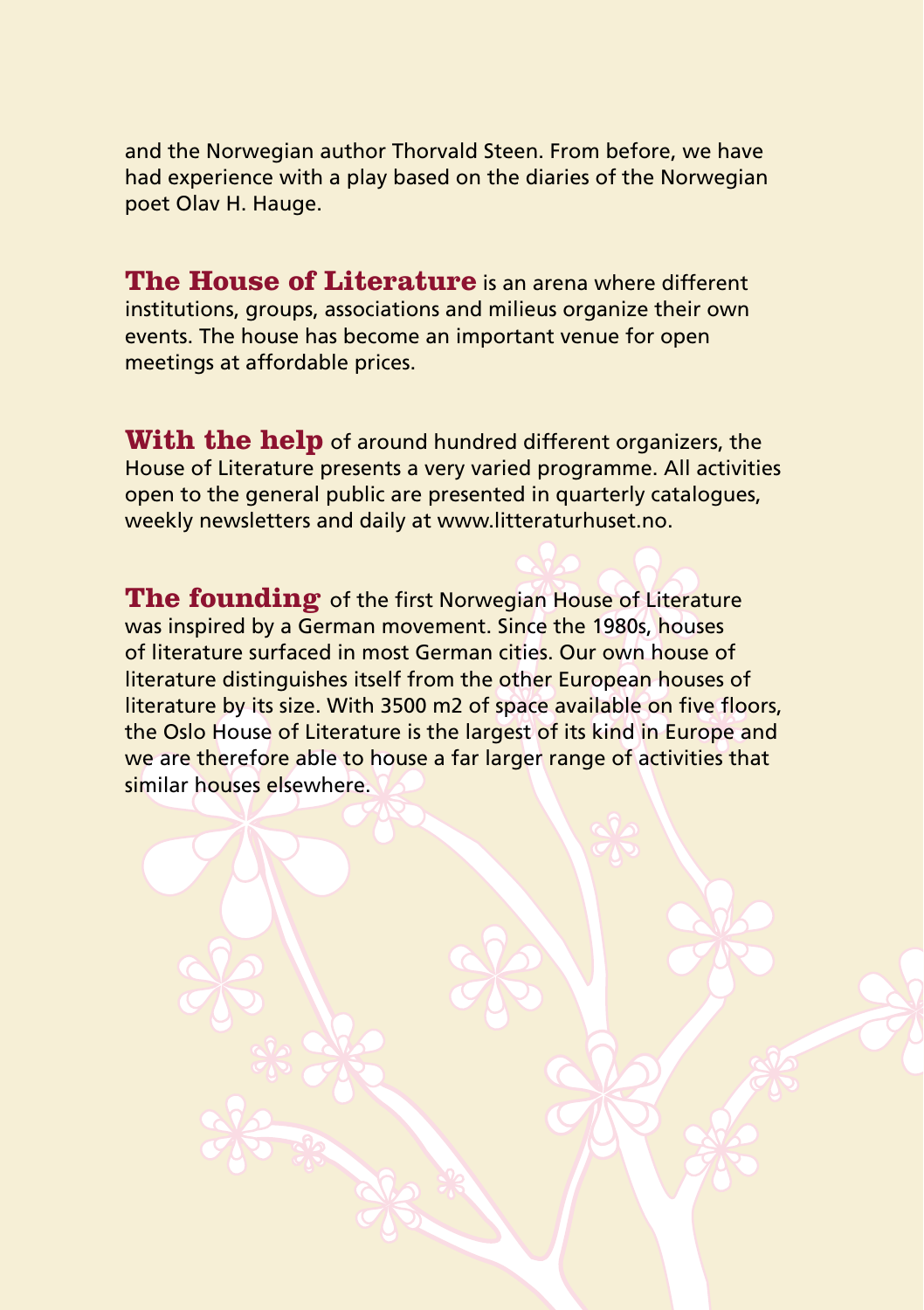and the Norwegian author Thorvald Steen. From before, we have had experience with a play based on the diaries of the Norwegian poet Olav H. Hauge.

**The House of Literature** is an arena where different institutions, groups, associations and milieus organize their own events. The house has become an important venue for open meetings at affordable prices.

**With the help** of around hundred different organizers, the House of Literature presents a very varied programme. All activities open to the general public are presented in quarterly catalogues, weekly newsletters and daily at www.litteraturhuset.no.

**The founding** of the first Norwegian House of Literature was inspired by a German movement. Since the 1980s, houses of literature surfaced in most German cities. Our own house of literature distinguishes itself from the other European houses of literature by its size. With 3500 m2 of space available on five floors, the Oslo House of Literature is the largest of its kind in Europe and we are therefore able to house a far larger range of activities that similar houses elsewhere.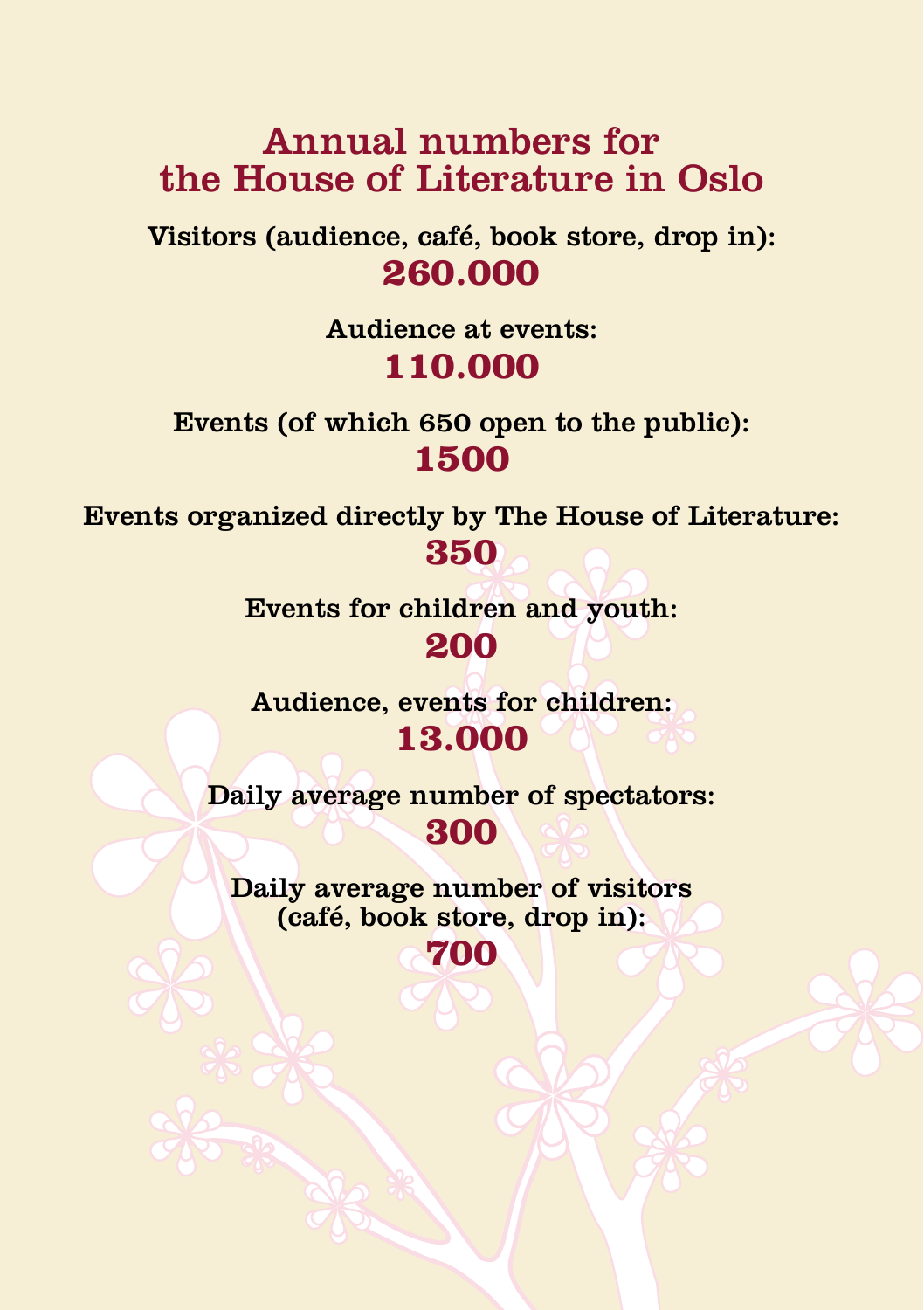## Annual numbers for the House of Literature in Oslo

Visitors (audience, café, book store, drop in): **260.000** 

> Audience at events: **110.000**

Events (of which 650 open to the public): **1500**

Events organized directly by The House of Literature: **350** 

> Events for children and youth: **200**

Audience, events for children: **13.000** 

Daily average number of spectators: **300**

Daily average number of visitors (café, book store, drop in):

**700**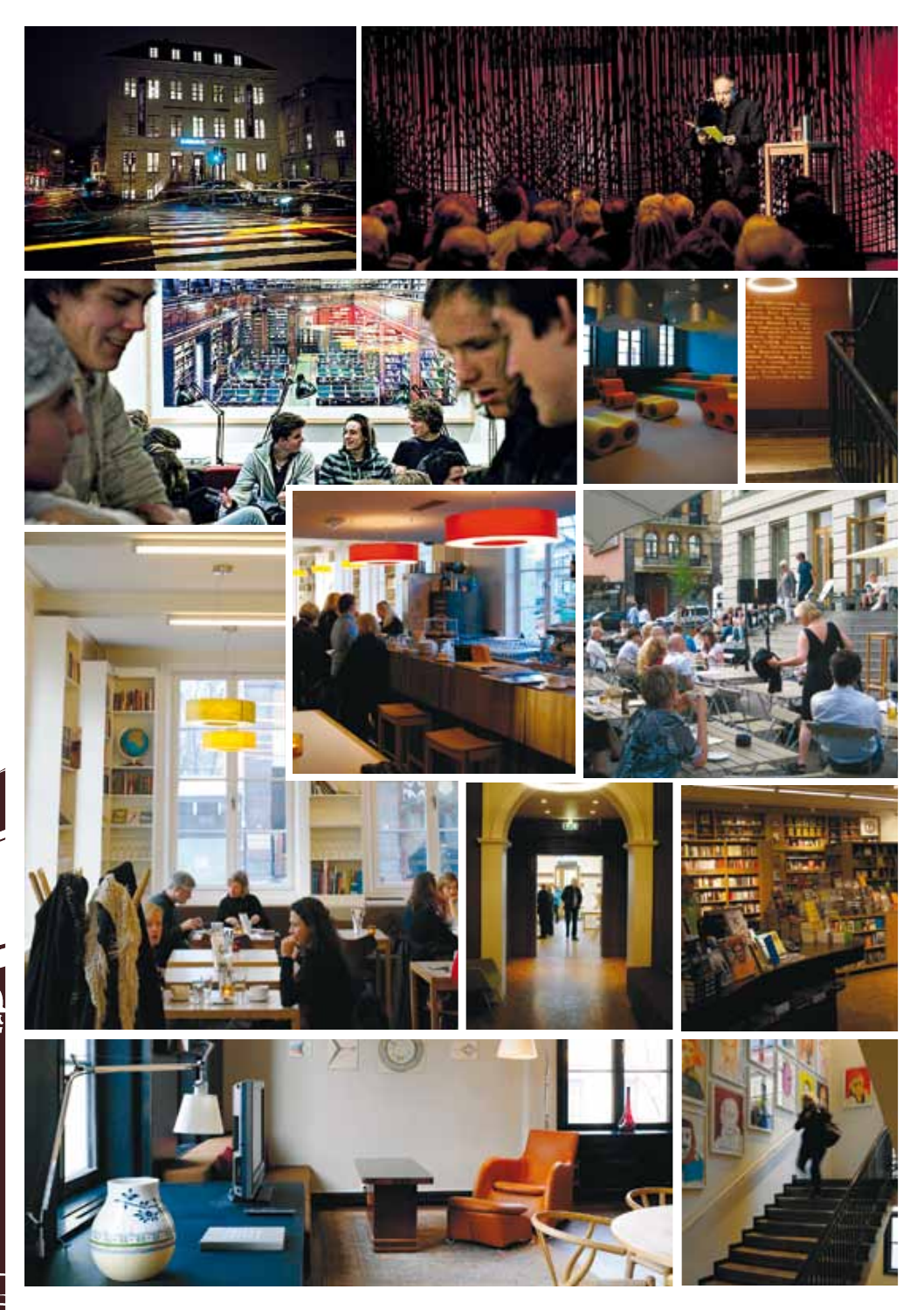